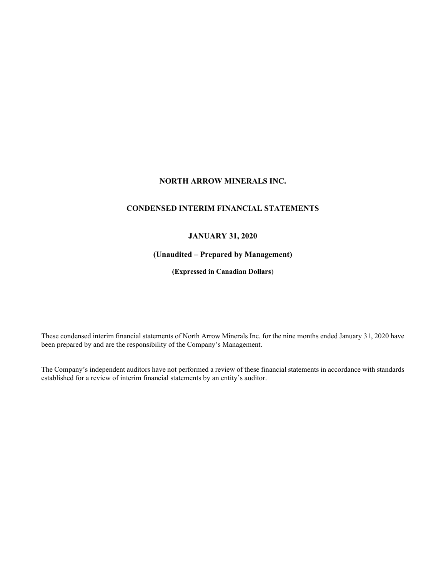# **NORTH ARROW MINERALS INC.**

# **CONDENSED INTERIM FINANCIAL STATEMENTS**

# **JANUARY 31, 2020**

# **(Unaudited – Prepared by Management)**

**(Expressed in Canadian Dollars**)

These condensed interim financial statements of North Arrow Minerals Inc. for the nine months ended January 31, 2020 have been prepared by and are the responsibility of the Company's Management.

The Company's independent auditors have not performed a review of these financial statements in accordance with standards established for a review of interim financial statements by an entity's auditor.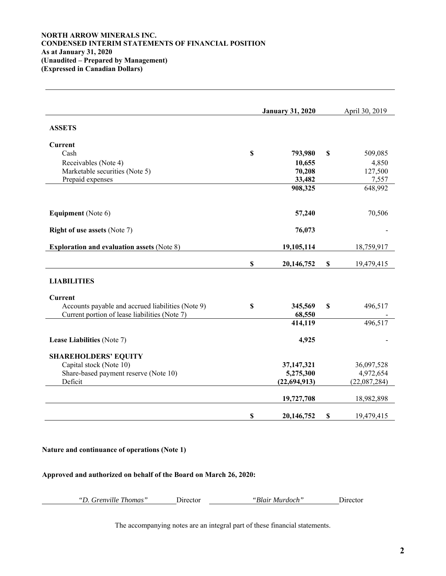## **NORTH ARROW MINERALS INC. CONDENSED INTERIM STATEMENTS OF FINANCIAL POSITION As at January 31, 2020 (Unaudited – Prepared by Management) (Expressed in Canadian Dollars)**

|                                                   |             | <b>January 31, 2020</b> |             | April 30, 2019 |
|---------------------------------------------------|-------------|-------------------------|-------------|----------------|
| <b>ASSETS</b>                                     |             |                         |             |                |
| Current                                           |             |                         |             |                |
| Cash                                              | \$          | 793,980                 | \$          | 509,085        |
| Receivables (Note 4)                              |             | 10,655                  |             | 4,850          |
| Marketable securities (Note 5)                    |             | 70,208                  |             | 127,500        |
| Prepaid expenses                                  |             | 33,482                  |             | 7,557          |
|                                                   |             | 908,325                 |             | 648,992        |
| <b>Equipment</b> (Note 6)                         |             | 57,240                  |             | 70,506         |
| <b>Right of use assets (Note 7)</b>               |             | 76,073                  |             |                |
| <b>Exploration and evaluation assets (Note 8)</b> |             | 19,105,114              |             | 18,759,917     |
|                                                   | $\mathbb S$ | 20,146,752              | $\mathbb S$ | 19,479,415     |
| <b>LIABILITIES</b>                                |             |                         |             |                |
| Current                                           |             |                         |             |                |
| Accounts payable and accrued liabilities (Note 9) | \$          | 345,569                 | \$          | 496,517        |
| Current portion of lease liabilities (Note 7)     |             | 68,550                  |             |                |
|                                                   |             | 414,119                 |             | 496,517        |
| Lease Liabilities (Note 7)                        |             | 4,925                   |             |                |
| <b>SHAREHOLDERS' EQUITY</b>                       |             |                         |             |                |
| Capital stock (Note 10)                           |             | 37,147,321              |             | 36,097,528     |
| Share-based payment reserve (Note 10)             |             | 5,275,300               |             | 4,972,654      |
| Deficit                                           |             | (22, 694, 913)          |             | (22,087,284)   |
|                                                   |             | 19,727,708              |             | 18,982,898     |
|                                                   | \$          | 20,146,752              | \$          | 19,479,415     |

# **Nature and continuance of operations (Note 1)**

## **Approved and authorized on behalf of the Board on March 26, 2020:**

| "D. Grenville Thomas" | <b>J</b> <sub>1</sub> rector | <i>'Blair Murdoch"</i> | Director. |
|-----------------------|------------------------------|------------------------|-----------|
|                       |                              |                        |           |

The accompanying notes are an integral part of these financial statements.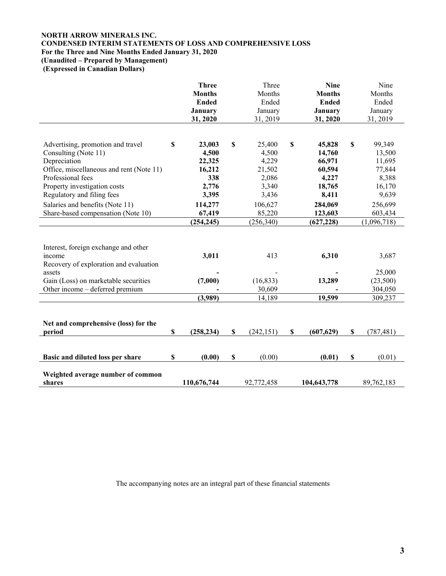# **NORTH ARROW MINERALS INC. CONDENSED INTERIM STATEMENTS OF LOSS AND COMPREHENSIVE LOSS For the Three and Nine Months Ended January 31, 2020**

**(Unaudited – Prepared by Management)** 

 **(Expressed in Canadian Dollars)** 

|                                                                                                                                                                                                          | <b>Three</b><br><b>Months</b><br><b>Ended</b><br><b>January</b><br>31, 2020 |                           | Three<br>Months<br>Ended<br>January<br>31, 2019               |                           | <b>Nine</b><br><b>Months</b><br><b>Ended</b><br><b>January</b><br>31, 2020 |             | Nine<br>Months<br>Ended<br>January<br>31, 2019                   |
|----------------------------------------------------------------------------------------------------------------------------------------------------------------------------------------------------------|-----------------------------------------------------------------------------|---------------------------|---------------------------------------------------------------|---------------------------|----------------------------------------------------------------------------|-------------|------------------------------------------------------------------|
| Advertising, promotion and travel<br>Consulting (Note 11)<br>Depreciation<br>Office, miscellaneous and rent (Note 11)<br>Professional fees<br>Property investigation costs<br>Regulatory and filing fees | \$<br>23,003<br>4,500<br>22,325<br>16,212<br>338<br>2,776<br>3,395          | \$                        | 25,400<br>4,500<br>4,229<br>21,502<br>2,086<br>3,340<br>3,436 | $\boldsymbol{\mathsf{S}}$ | 45,828<br>14,760<br>66,971<br>60,594<br>4,227<br>18,765<br>8,411           | $\mathbb S$ | 99,349<br>13,500<br>11,695<br>77,844<br>8,388<br>16,170<br>9,639 |
| Salaries and benefits (Note 11)<br>Share-based compensation (Note 10)                                                                                                                                    | 114,277<br>67,419<br>(254, 245)                                             |                           | 106,627<br>85,220<br>(256,340)                                |                           | 284,069<br>123,603<br>(627, 228)                                           |             | 256,699<br>603,434<br>(1,096,718)                                |
| Interest, foreign exchange and other<br>income<br>Recovery of exploration and evaluation<br>assets                                                                                                       | 3,011                                                                       |                           | 413                                                           |                           | 6,310                                                                      |             | 3,687<br>25,000                                                  |
| Gain (Loss) on marketable securities<br>Other income – deferred premium                                                                                                                                  | (7,000)                                                                     |                           | (16, 833)<br>30,609                                           |                           | 13,289                                                                     |             | (23,500)<br>304,050                                              |
|                                                                                                                                                                                                          | (3,989)                                                                     |                           | 14,189                                                        |                           | 19,599                                                                     |             | 309,237                                                          |
| Net and comprehensive (loss) for the<br>period                                                                                                                                                           | \$<br>(258, 234)                                                            | \$                        | (242, 151)                                                    | \$                        | (607, 629)                                                                 | $\mathbb S$ | (787, 481)                                                       |
| Basic and diluted loss per share                                                                                                                                                                         | \$<br>(0.00)                                                                | $\boldsymbol{\mathsf{S}}$ | (0.00)                                                        |                           | (0.01)                                                                     | $\mathbb S$ | (0.01)                                                           |
| Weighted average number of common<br>shares                                                                                                                                                              | 110,676,744                                                                 |                           | 92,772,458                                                    |                           | 104,643,778                                                                |             | 89,762,183                                                       |

The accompanying notes are an integral part of these financial statements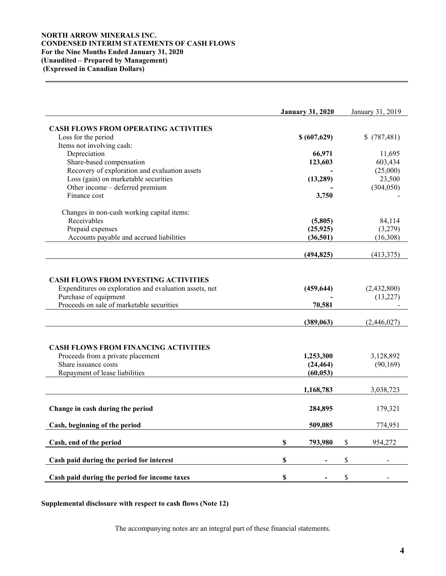# **NORTH ARROW MINERALS INC. CONDENSED INTERIM STATEMENTS OF CASH FLOWS For the Nine Months Ended January 31, 2020 (Unaudited – Prepared by Management) (Expressed in Canadian Dollars)**

|                                                                    | <b>January 31, 2020</b> | January 31, 2019 |
|--------------------------------------------------------------------|-------------------------|------------------|
| <b>CASH FLOWS FROM OPERATING ACTIVITIES</b>                        |                         |                  |
| Loss for the period                                                | \$ (607,629)            | \$(787,481)      |
| Items not involving cash:                                          |                         |                  |
| Depreciation                                                       | 66,971                  | 11,695           |
| Share-based compensation                                           | 123,603                 | 603,434          |
| Recovery of exploration and evaluation assets                      |                         | (25,000)         |
| Loss (gain) on marketable securities                               | (13,289)                | 23,500           |
| Other income - deferred premium                                    |                         | (304, 050)       |
| Finance cost                                                       | 3,750                   |                  |
| Changes in non-cash working capital items:                         |                         |                  |
| Receivables                                                        | (5,805)                 | 84,114           |
| Prepaid expenses                                                   | (25, 925)               | (3,279)          |
| Accounts payable and accrued liabilities                           | (36,501)                | (16,308)         |
|                                                                    | (494, 825)              | (413, 375)       |
| <b>CASH FLOWS FROM INVESTING ACTIVITIES</b>                        |                         |                  |
| Expenditures on exploration and evaluation assets, net             | (459, 644)              | (2,432,800)      |
| Purchase of equipment<br>Proceeds on sale of marketable securities |                         | (13,227)         |
|                                                                    | 70,581                  |                  |
|                                                                    | (389,063)               | (2,446,027)      |
|                                                                    |                         |                  |
| <b>CASH FLOWS FROM FINANCING ACTIVITIES</b>                        |                         |                  |
| Proceeds from a private placement                                  | 1,253,300               | 3,128,892        |
| Share issuance costs                                               | (24, 464)               | (90, 169)        |
| Repayment of lease liabilities                                     | (60, 053)               |                  |
|                                                                    | 1,168,783               | 3,038,723        |
|                                                                    |                         |                  |
| Change in cash during the period                                   | 284,895                 | 179,321          |
| Cash, beginning of the period                                      | 509,085                 | 774,951          |
| Cash, end of the period                                            | \$<br>793,980           | \$<br>954,272    |
|                                                                    |                         |                  |
| Cash paid during the period for interest                           | \$                      | \$               |
| Cash paid during the period for income taxes                       | \$                      | \$               |

**Supplemental disclosure with respect to cash flows (Note 12)** 

The accompanying notes are an integral part of these financial statements.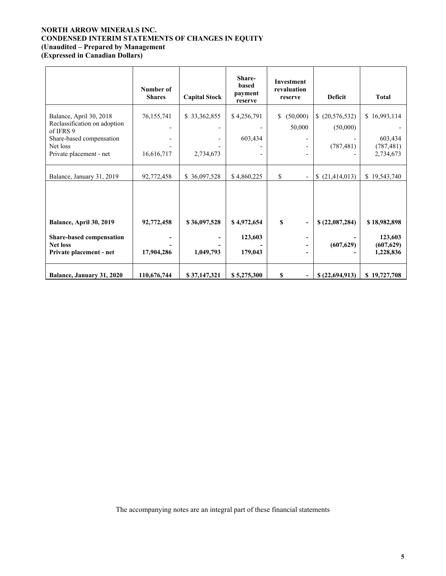# **NORTH ARROW MINERALS INC. CONDENSED INTERIM STATEMENTS OF CHANGES IN EQUITY (Unaudited – Prepared by Management**

**(Expressed in Canadian Dollars)** 

|                                                                                                              | Number of<br><b>Shares</b> | <b>Capital Stock</b>                     | Share-<br>based<br>payment<br>reserve | Investment<br>revaluation<br>reserve                                             | <b>Deficit</b>                           | <b>Total</b>                          |
|--------------------------------------------------------------------------------------------------------------|----------------------------|------------------------------------------|---------------------------------------|----------------------------------------------------------------------------------|------------------------------------------|---------------------------------------|
| Balance, April 30, 2018<br>Reclassification on adoption<br>of IFRS 9<br>Share-based compensation<br>Net loss | 76,155,741                 | \$33,362,855<br>$\overline{\phantom{a}}$ | \$4,256,791<br>603,434                | (50,000)<br>\$<br>50,000<br>$\overline{\phantom{a}}$<br>$\overline{\phantom{a}}$ | (20, 576, 532)<br>(50,000)<br>(787, 481) | \$16,993,114<br>603,434<br>(787, 481) |
| Private placement - net                                                                                      | 16,616,717                 | 2,734,673                                |                                       | $\overline{\phantom{a}}$                                                         |                                          | 2,734,673                             |
| Balance, January 31, 2019                                                                                    | 92,772,458                 | \$36,097,528                             | \$4,860,225                           | \$<br>$\overline{\phantom{a}}$                                                   | (21, 414, 013)<br>S.                     | \$19,543,740                          |
| Balance, April 30, 2019<br>Share-based compensation                                                          | 92,772,458                 | \$36,097,528                             | \$4,972,654<br>123,603                | $\mathbf S$<br>$\qquad \qquad \blacksquare$<br>-                                 | \$(22,087,284)                           | \$18,982,898<br>123,603               |
| <b>Net loss</b><br>Private placement - net                                                                   | 17,904,286                 | 1,049,793                                | 179,043                               | -<br>-                                                                           | (607, 629)                               | (607, 629)<br>1,228,836               |
| Balance, January 31, 2020                                                                                    | 110,676,744                | \$37,147,321                             | \$5,275,300                           | \$<br>$\overline{\phantom{0}}$                                                   | \$(22,694,913)                           | \$19,727,708                          |

The accompanying notes are an integral part of these financial statements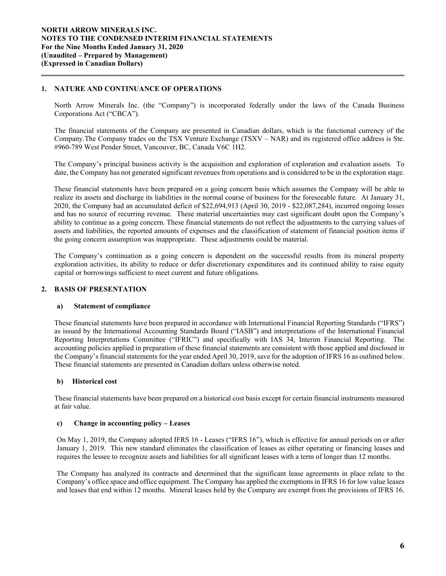# **1. NATURE AND CONTINUANCE OF OPERATIONS**

 $\overline{a}$ 

North Arrow Minerals Inc. (the "Company") is incorporated federally under the laws of the Canada Business Corporations Act ("CBCA").

The financial statements of the Company are presented in Canadian dollars, which is the functional currency of the Company.The Company trades on the TSX Venture Exchange (TSXV – NAR) and its registered office address is Ste. #960-789 West Pender Street, Vancouver, BC, Canada V6C 1H2.

The Company's principal business activity is the acquisition and exploration of exploration and evaluation assets. To date, the Company has not generated significant revenues from operations and is considered to be in the exploration stage.

These financial statements have been prepared on a going concern basis which assumes the Company will be able to realize its assets and discharge its liabilities in the normal course of business for the foreseeable future. At January 31, 2020, the Company had an accumulated deficit of \$22,694,913 (April 30, 2019 - \$22,087,284), incurred ongoing losses and has no source of recurring revenue. These material uncertainties may cast significant doubt upon the Company's ability to continue as a going concern. These financial statements do not reflect the adjustments to the carrying values of assets and liabilities, the reported amounts of expenses and the classification of statement of financial position items if the going concern assumption was inappropriate. These adjustments could be material.

The Company's continuation as a going concern is dependent on the successful results from its mineral property exploration activities, its ability to reduce or defer discretionary expenditures and its continued ability to raise equity capital or borrowings sufficient to meet current and future obligations.

### **2. BASIS OF PRESENTATION**

### **a) Statement of compliance**

These financial statements have been prepared in accordance with International Financial Reporting Standards ("IFRS") as issued by the International Accounting Standards Board ("IASB") and interpretations of the International Financial Reporting Interpretations Committee ("IFRIC") and specifically with IAS 34, Interim Financial Reporting. The accounting policies applied in preparation of these financial statements are consistent with those applied and disclosed in the Company's financial statements for the year ended April 30, 2019, save for the adoption of IFRS 16 as outlined below. These financial statements are presented in Canadian dollars unless otherwise noted.

### **b) Historical cost**

These financial statements have been prepared on a historical cost basis except for certain financial instruments measured at fair value.

### **c) Change in accounting policy – Leases**

On May 1, 2019, the Company adopted IFRS 16 - Leases ("IFRS 16"), which is effective for annual periods on or after January 1, 2019. This new standard eliminates the classification of leases as either operating or financing leases and requires the lessee to recognize assets and liabilities for all significant leases with a term of longer than 12 months.

The Company has analyzed its contracts and determined that the significant lease agreements in place relate to the Company's office space and office equipment. The Company has applied the exemptions in IFRS 16 for low value leases and leases that end within 12 months. Mineral leases held by the Company are exempt from the provisions of IFRS 16.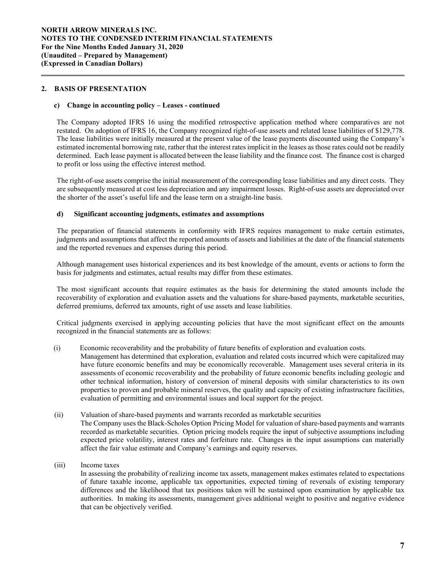## **2. BASIS OF PRESENTATION**

 $\overline{a}$ 

### **c) Change in accounting policy – Leases - continued**

The Company adopted IFRS 16 using the modified retrospective application method where comparatives are not restated. On adoption of IFRS 16, the Company recognized right-of-use assets and related lease liabilities of \$129,778. The lease liabilities were initially measured at the present value of the lease payments discounted using the Company's estimated incremental borrowing rate, rather that the interest rates implicit in the leases as those rates could not be readily determined. Each lease payment is allocated between the lease liability and the finance cost. The finance cost is charged to profit or loss using the effective interest method.

The right-of-use assets comprise the initial measurement of the corresponding lease liabilities and any direct costs. They are subsequently measured at cost less depreciation and any impairment losses. Right-of-use assets are depreciated over the shorter of the asset's useful life and the lease term on a straight-line basis.

## **d) Significant accounting judgments, estimates and assumptions**

The preparation of financial statements in conformity with IFRS requires management to make certain estimates, judgments and assumptions that affect the reported amounts of assets and liabilities at the date of the financial statements and the reported revenues and expenses during this period.

Although management uses historical experiences and its best knowledge of the amount, events or actions to form the basis for judgments and estimates, actual results may differ from these estimates.

The most significant accounts that require estimates as the basis for determining the stated amounts include the recoverability of exploration and evaluation assets and the valuations for share-based payments, marketable securities, deferred premiums, deferred tax amounts, right of use assets and lease liabilities.

Critical judgments exercised in applying accounting policies that have the most significant effect on the amounts recognized in the financial statements are as follows:

(i) Economic recoverability and the probability of future benefits of exploration and evaluation costs*.* 

 Management has determined that exploration, evaluation and related costs incurred which were capitalized may have future economic benefits and may be economically recoverable. Management uses several criteria in its assessments of economic recoverability and the probability of future economic benefits including geologic and other technical information, history of conversion of mineral deposits with similar characteristics to its own properties to proven and probable mineral reserves, the quality and capacity of existing infrastructure facilities, evaluation of permitting and environmental issues and local support for the project.

- (ii) Valuation of share-based payments and warrants recorded as marketable securities The Company uses the Black-Scholes Option Pricing Model for valuation of share-based payments and warrants recorded as marketable securities. Option pricing models require the input of subjective assumptions including expected price volatility, interest rates and forfeiture rate. Changes in the input assumptions can materially affect the fair value estimate and Company's earnings and equity reserves.
- (iii) Income taxes

In assessing the probability of realizing income tax assets, management makes estimates related to expectations of future taxable income, applicable tax opportunities, expected timing of reversals of existing temporary differences and the likelihood that tax positions taken will be sustained upon examination by applicable tax authorities. In making its assessments, management gives additional weight to positive and negative evidence that can be objectively verified.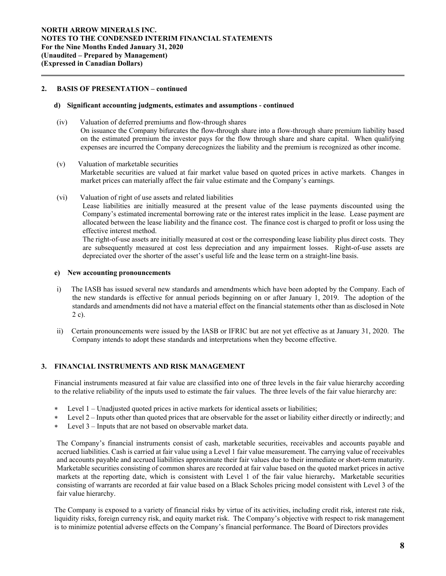## **2. BASIS OF PRESENTATION – continued**

 $\overline{a}$ 

### **d) Significant accounting judgments, estimates and assumptions** *-* **continued**

- (iv) Valuation of deferred premiums and flow-through shares On issuance the Company bifurcates the flow-through share into a flow-through share premium liability based on the estimated premium the investor pays for the flow through share and share capital. When qualifying expenses are incurred the Company derecognizes the liability and the premium is recognized as other income.
- (v) Valuation of marketable securities Marketable securities are valued at fair market value based on quoted prices in active markets. Changes in market prices can materially affect the fair value estimate and the Company's earnings.
- (vi) Valuation of right of use assets and related liabilities

Lease liabilities are initially measured at the present value of the lease payments discounted using the Company's estimated incremental borrowing rate or the interest rates implicit in the lease. Lease payment are allocated between the lease liability and the finance cost. The finance cost is charged to profit or loss using the effective interest method.

The right-of-use assets are initially measured at cost or the corresponding lease liability plus direct costs. They are subsequently measured at cost less depreciation and any impairment losses. Right-of-use assets are depreciated over the shorter of the asset's useful life and the lease term on a straight-line basis.

### **e) New accounting pronouncements**

- i) The IASB has issued several new standards and amendments which have been adopted by the Company. Each of the new standards is effective for annual periods beginning on or after January 1, 2019. The adoption of the standards and amendments did not have a material effect on the financial statements other than as disclosed in Note 2 c).
- ii) Certain pronouncements were issued by the IASB or IFRIC but are not yet effective as at January 31, 2020. The Company intends to adopt these standards and interpretations when they become effective.

# **3. FINANCIAL INSTRUMENTS AND RISK MANAGEMENT**

Financial instruments measured at fair value are classified into one of three levels in the fair value hierarchy according to the relative reliability of the inputs used to estimate the fair values. The three levels of the fair value hierarchy are:

- Level 1 Unadjusted quoted prices in active markets for identical assets or liabilities;
- Level 2 Inputs other than quoted prices that are observable for the asset or liability either directly or indirectly; and
- Level 3 Inputs that are not based on observable market data.

The Company's financial instruments consist of cash, marketable securities, receivables and accounts payable and accrued liabilities. Cash is carried at fair value using a Level 1 fair value measurement. The carrying value of receivables and accounts payable and accrued liabilities approximate their fair values due to their immediate or short-term maturity. Marketable securities consisting of common shares are recorded at fair value based on the quoted market prices in active markets at the reporting date, which is consistent with Level 1 of the fair value hierarchy**.** Marketable securities consisting of warrants are recorded at fair value based on a Black Scholes pricing model consistent with Level 3 of the fair value hierarchy.

The Company is exposed to a variety of financial risks by virtue of its activities, including credit risk, interest rate risk, liquidity risks, foreign currency risk, and equity market risk. The Company's objective with respect to risk management is to minimize potential adverse effects on the Company's financial performance. The Board of Directors provides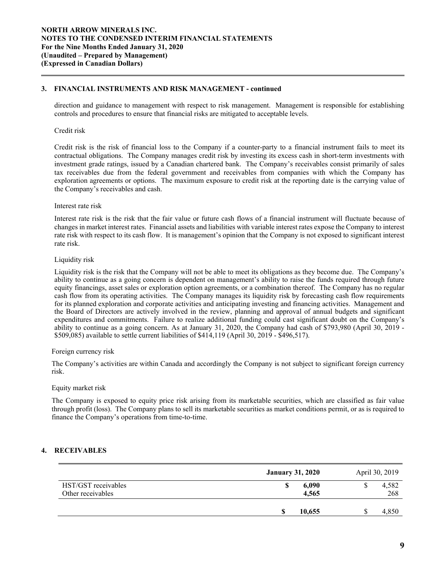## **3. FINANCIAL INSTRUMENTS AND RISK MANAGEMENT - continued**

direction and guidance to management with respect to risk management. Management is responsible for establishing controls and procedures to ensure that financial risks are mitigated to acceptable levels.

### Credit risk

 $\overline{a}$ 

Credit risk is the risk of financial loss to the Company if a counter-party to a financial instrument fails to meet its contractual obligations. The Company manages credit risk by investing its excess cash in short-term investments with investment grade ratings, issued by a Canadian chartered bank. The Company's receivables consist primarily of sales tax receivables due from the federal government and receivables from companies with which the Company has exploration agreements or options. The maximum exposure to credit risk at the reporting date is the carrying value of the Company's receivables and cash.

## Interest rate risk

Interest rate risk is the risk that the fair value or future cash flows of a financial instrument will fluctuate because of changes in market interest rates. Financial assets and liabilities with variable interest rates expose the Company to interest rate risk with respect to its cash flow. It is management's opinion that the Company is not exposed to significant interest rate risk.

## Liquidity risk

Liquidity risk is the risk that the Company will not be able to meet its obligations as they become due. The Company's ability to continue as a going concern is dependent on management's ability to raise the funds required through future equity financings, asset sales or exploration option agreements, or a combination thereof. The Company has no regular cash flow from its operating activities. The Company manages its liquidity risk by forecasting cash flow requirements for its planned exploration and corporate activities and anticipating investing and financing activities. Management and the Board of Directors are actively involved in the review, planning and approval of annual budgets and significant expenditures and commitments. Failure to realize additional funding could cast significant doubt on the Company's ability to continue as a going concern. As at January 31, 2020, the Company had cash of \$793,980 (April 30, 2019 - \$509,085) available to settle current liabilities of \$414,119 (April 30, 2019 - \$496,517).

### Foreign currency risk

 The Company's activities are within Canada and accordingly the Company is not subject to significant foreign currency risk.

### Equity market risk

The Company is exposed to equity price risk arising from its marketable securities, which are classified as fair value through profit (loss). The Company plans to sell its marketable securities as market conditions permit, or as is required to finance the Company's operations from time-to-time.

# **4. RECEIVABLES**

|                                          | <b>January 31, 2020</b> | April 30, 2019 |
|------------------------------------------|-------------------------|----------------|
| HST/GST receivables<br>Other receivables | 6,090<br>S<br>4,565     | 4,582<br>268   |
|                                          | 10,655                  | 4,850          |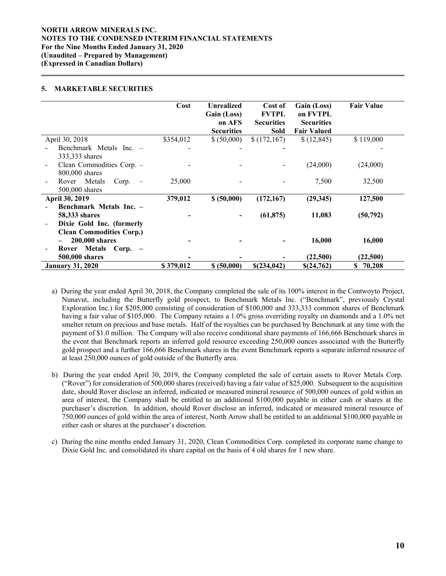## **NORTH ARROW MINERALS INC. NOTES TO THE CONDENSED INTERIM FINANCIAL STATEMENTS For the Nine Months Ended January 31, 2020 (Unaudited – Prepared by Management) (Expressed in Canadian Dollars)**

## **5. MARKETABLE SECURITIES**

 $\overline{a}$ 

|                                                                               | Cost      | <b>Unrealized</b><br>Gain (Loss)<br>on AFS<br><b>Securities</b> | Cost of<br><b>FVTPL</b><br><b>Securities</b><br>Sold | Gain (Loss)<br>on FVTPL<br><b>Securities</b><br><b>Fair Valued</b> | <b>Fair Value</b> |
|-------------------------------------------------------------------------------|-----------|-----------------------------------------------------------------|------------------------------------------------------|--------------------------------------------------------------------|-------------------|
| April 30, 2018                                                                | \$354,012 | \$ (50,000)                                                     | \$(172,167)                                          | \$(12, 845)                                                        | \$119,000         |
| Benchmark Metals Inc. –                                                       |           |                                                                 |                                                      |                                                                    |                   |
| 333,333 shares<br>Clean Commodities Corp. -<br>800,000 shares                 |           |                                                                 |                                                      | (24,000)                                                           | (24,000)          |
| Rover Metals<br>Corp.<br>$\overline{\phantom{a}}$                             | 25,000    |                                                                 |                                                      | 7,500                                                              | 32,500            |
| 500,000 shares<br>April 30, 2019                                              | 379,012   | \$ (50,000)                                                     | (172, 167)                                           | (29, 345)                                                          | 127,500           |
| Benchmark Metals Inc. -                                                       |           |                                                                 |                                                      |                                                                    |                   |
| <b>58,333 shares</b><br>Dixie Gold Inc. (formerly                             |           |                                                                 | (61, 875)                                            | 11,083                                                             | (50, 792)         |
| <b>Clean Commodities Corp.)</b><br>200,000 shares<br>$\overline{\phantom{0}}$ |           |                                                                 |                                                      | 16,000                                                             | 16,000            |
| Rover Metals Corp. -<br>500,000 shares                                        |           |                                                                 |                                                      | (22,500)                                                           | (22,500)          |
| <b>January 31, 2020</b>                                                       | \$379,012 | \$ (50,000)                                                     | \$(234,042)                                          | \$(24,762)                                                         | \$<br>70,208      |

a) During the year ended April 30, 2018, the Company completed the sale of its 100% interest in the Contwoyto Project, Nunavut, including the Butterfly gold prospect, to Benchmark Metals Inc. ("Benchmark", previously Crystal Exploration Inc.) for \$205,000 consisting of consideration of \$100,000 and 333,333 common shares of Benchmark having a fair value of \$105,000. The Company retains a 1.0% gross overriding royalty on diamonds and a 1.0% net smelter return on precious and base metals. Half of the royalties can be purchased by Benchmark at any time with the payment of \$1.0 million. The Company will also receive conditional share payments of 166,666 Benchmark shares in the event that Benchmark reports an inferred gold resource exceeding 250,000 ounces associated with the Butterfly gold prospect and a further 166,666 Benchmark shares in the event Benchmark reports a separate inferred resource of at least 250,000 ounces of gold outside of the Butterfly area.

- b) During the year ended April 30, 2019, the Company completed the sale of certain assets to Rover Metals Corp. ("Rover") for consideration of 500,000 shares (received) having a fair value of \$25,000. Subsequent to the acquisition date, should Rover disclose an inferred, indicated or measured mineral resource of 500,000 ounces of gold within an area of interest, the Company shall be entitled to an additional \$100,000 payable in either cash or shares at the purchaser's discretion. In addition, should Rover disclose an inferred, indicated or measured mineral resource of 750,000 ounces of gold within the area of interest, North Arrow shall be entitled to an additional \$100,000 payable in either cash or shares at the purchaser's discretion.
- c) During the nine months ended January 31, 2020, Clean Commodities Corp. completed its corporate name change to Dixie Gold Inc. and consolidated its share capital on the basis of 4 old shares for 1 new share.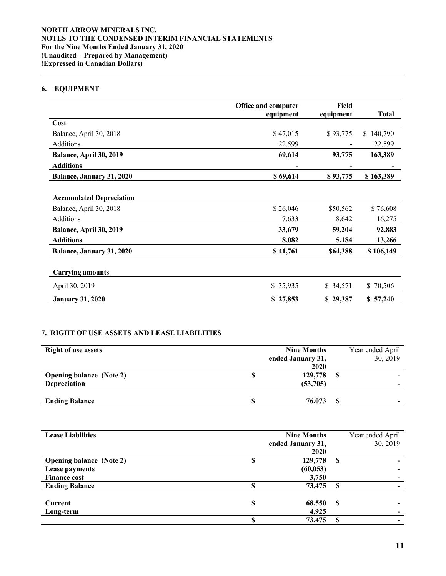# **6. EQUIPMENT**

 $\overline{a}$ 

|                                 | Office and computer | Field     |                |  |  |
|---------------------------------|---------------------|-----------|----------------|--|--|
|                                 | equipment           | equipment | <b>Total</b>   |  |  |
| Cost                            |                     |           |                |  |  |
| Balance, April 30, 2018         | \$47,015            | \$93,775  | 140,790<br>\$. |  |  |
| Additions                       | 22,599              |           | 22,599         |  |  |
| Balance, April 30, 2019         | 69,614              | 93,775    | 163,389        |  |  |
| <b>Additions</b>                | -                   |           |                |  |  |
| Balance, January 31, 2020       | \$69,614            | \$93,775  | \$163,389      |  |  |
|                                 |                     |           |                |  |  |
| <b>Accumulated Depreciation</b> |                     |           |                |  |  |
| Balance, April 30, 2018         | \$26,046            | \$50,562  | \$76,608       |  |  |
| Additions                       | 7,633               | 8,642     | 16,275         |  |  |
| Balance, April 30, 2019         | 33,679              | 59,204    | 92,883         |  |  |
| <b>Additions</b>                | 8,082               | 5,184     | 13,266         |  |  |
| Balance, January 31, 2020       | \$41,761            | \$64,388  | \$106,149      |  |  |
|                                 |                     |           |                |  |  |
| <b>Carrying amounts</b>         |                     |           |                |  |  |
| April 30, 2019                  | \$35,935            | \$34,571  | \$70,506       |  |  |
| <b>January 31, 2020</b>         | \$27,853            | \$29,387  | \$57,240       |  |  |

# **7. RIGHT OF USE ASSETS AND LEASE LIABILITIES**

| <b>Right of use assets</b>      | <b>Nine Months</b> |                   |   | Year ended April |
|---------------------------------|--------------------|-------------------|---|------------------|
|                                 |                    | ended January 31, |   | 30, 2019         |
|                                 |                    | 2020              |   |                  |
| <b>Opening balance (Note 2)</b> |                    | 129,778           | S |                  |
| <b>Depreciation</b>             |                    | (53,705)          |   |                  |
|                                 |                    |                   |   |                  |
| <b>Ending Balance</b>           |                    | 76,073            |   |                  |

| <b>Lease Liabilities</b>        |   | <b>Nine Months</b> |   | Year ended April |
|---------------------------------|---|--------------------|---|------------------|
|                                 |   | ended January 31,  |   | 30, 2019         |
|                                 |   | 2020               |   |                  |
| <b>Opening balance (Note 2)</b> | S | 129,778            | S |                  |
| Lease payments                  |   | (60, 053)          |   |                  |
| <b>Finance cost</b>             |   | 3,750              |   |                  |
| <b>Ending Balance</b>           |   | 73,475             |   |                  |
|                                 |   |                    |   |                  |
| Current                         | S | 68,550             | S |                  |
| Long-term                       |   | 4,925              |   |                  |
|                                 |   | 73,475             |   |                  |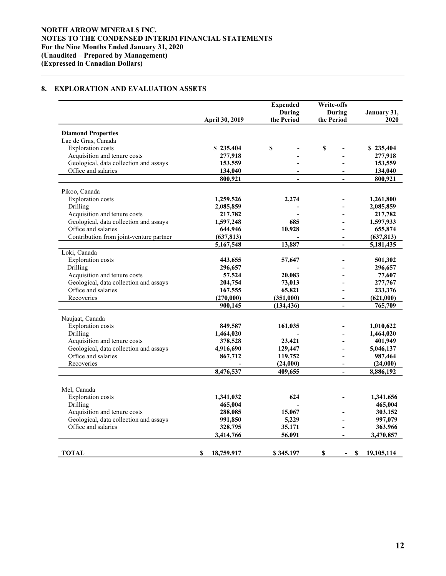# **8. EXPLORATION AND EVALUATION ASSETS**

 $\overline{a}$ 

|                                         |                 | <b>Expended</b><br><b>During</b> | Write-offs<br>During | January 31,              |
|-----------------------------------------|-----------------|----------------------------------|----------------------|--------------------------|
|                                         | April 30, 2019  | the Period                       | the Period           | 2020                     |
| <b>Diamond Properties</b>               |                 |                                  |                      |                          |
| Lac de Gras, Canada                     |                 |                                  |                      |                          |
| <b>Exploration</b> costs                | \$235,404       | \$                               | \$                   | \$235,404                |
| Acquisition and tenure costs            | 277,918         |                                  |                      | 277,918                  |
| Geological, data collection and assays  | 153,559         |                                  |                      | 153,559                  |
| Office and salaries                     | 134,040         | $\overline{a}$                   |                      | 134,040                  |
|                                         | 800,921         |                                  |                      | 800,921                  |
| Pikoo, Canada                           |                 |                                  |                      |                          |
| <b>Exploration</b> costs                | 1,259,526       | 2,274                            |                      | 1,261,800                |
| Drilling                                | 2,085,859       |                                  |                      | 2,085,859                |
| Acquisition and tenure costs            | 217,782         |                                  |                      | 217,782                  |
| Geological, data collection and assays  | 1,597,248       | 685                              |                      | 1,597,933                |
| Office and salaries                     | 644,946         | 10,928                           |                      | 655,874                  |
| Contribution from joint-venture partner | (637, 813)      |                                  |                      | (637, 813)               |
|                                         | 5,167,548       | 13,887                           | $\blacksquare$       | 5,181,435                |
| Loki, Canada                            |                 |                                  |                      |                          |
| <b>Exploration</b> costs                | 443,655         | 57,647                           |                      | 501,302                  |
| Drilling                                | 296,657         |                                  |                      | 296,657                  |
| Acquisition and tenure costs            | 57,524          | 20,083                           |                      | 77,607                   |
| Geological, data collection and assays  | 204,754         | 73,013                           |                      | 277,767                  |
| Office and salaries                     | 167,555         | 65,821                           |                      | 233,376                  |
| Recoveries                              | (270,000)       | (351,000)                        | $\blacksquare$       | (621,000)                |
|                                         | 900,145         | (134, 436)                       | $\overline{a}$       | 765,709                  |
| Naujaat, Canada                         |                 |                                  |                      |                          |
| <b>Exploration</b> costs                | 849,587         | 161,035                          |                      | 1,010,622                |
| Drilling                                | 1,464,020       |                                  |                      | 1,464,020                |
| Acquisition and tenure costs            | 378,528         | 23,421                           |                      | 401,949                  |
| Geological, data collection and assays  | 4,916,690       | 129,447                          |                      | 5,046,137                |
| Office and salaries                     | 867,712         | 119,752                          |                      | 987,464                  |
| Recoveries                              |                 | (24,000)                         | L.                   | (24,000)                 |
|                                         | 8,476,537       | 409,655                          |                      | 8,886,192                |
|                                         |                 |                                  |                      |                          |
| Mel, Canada                             |                 |                                  |                      |                          |
| Exploration costs                       | 1,341,032       | 624                              |                      | 1,341,656                |
| Drilling                                | 465,004         |                                  |                      | 465,004                  |
| Acquisition and tenure costs            | 288,085         | 15,067                           |                      | 303,152                  |
| Geological, data collection and assays  | 991,850         | 5,229                            |                      | 997,079                  |
| Office and salaries                     | 328,795         | 35,171                           |                      | 363,966                  |
|                                         | 3,414,766       | 56,091                           | $\blacksquare$       | 3,470,857                |
|                                         |                 |                                  |                      |                          |
| TOTAL                                   | 18,759,917<br>S | \$345,197                        | S<br>$\blacksquare$  | <b>S</b><br>19, 105, 114 |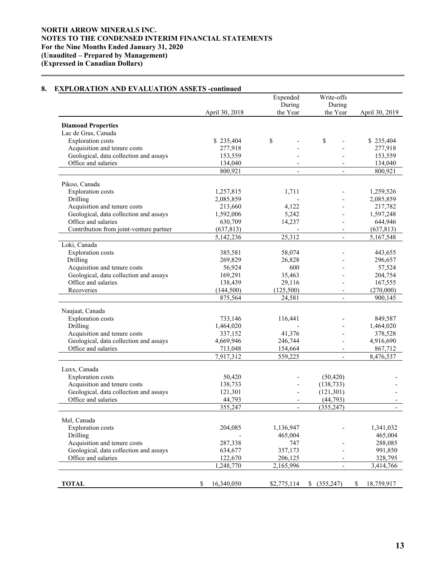### April 30, 2018 Expended During the Year Write-offs During<br>the Year April 30, 2019 **Diamond Properties**  Lac de Gras, Canada Exploration costs<br>
Acquisition and tenure costs<br>  $277.918$ <br>  $277.918$ <br>  $277.918$ Acquisition and tenure costs<br>
Geological, data collection and assays<br>  $153,559$ <br>  $153,559$ <br>  $-$ <br>
277,918 Geological, data collection and assays 153,559 -Office and salaries 134,040 - 134,040 - 134,040  $800,921$  - 800,921 Pikoo, Canada Exploration costs 1,257,815 1,711 - 1,259,526 Drilling 2,085,859 - 2,085,859 - 2,085,859 Acquisition and tenure costs 213,660 4,122 - 217,782 Geological, data collection and assays  $1,592,006$   $5,242$   $- 1,597,248$ <br>Office and salaries  $630,709$   $14,237$   $- 644,946$ Office and salaries 630.709  $14.237$ Contribution from joint-venture partner (637,813) (637,813) (637,813) 5,142,236 25,312 - 5,167,548 Loki, Canada Exploration costs 385,581 58,074 - 443,655<br>Drilling 269,829 26,828 - 296,657 Drilling 269,829 26,828 - 296,657 Acquisition and tenure costs 56,924 600 - 57,524 Geological, data collection and assays  $169,291$   $35,463$  -  $204,754$ Office and salaries 138,439 29,116 - 167,555 Recoveries (144,500) (125,500) (125,500) (270,000) 875,564 24,581 - 900,145 Naujaat, Canada Exploration costs 733,146 116,441 - 849,587 Drilling 1,464,020 - 1,464,020 - 1,464,020 Acquisition and tenure costs 337,152 41,376 - 378,528<br>Geological, data collection and assays 4,669,946 246,744 4.916,690 Geological, data collection and assays  $4,669,946$   $246,744$  -  $4,916,690$ <br>Office and salaries  $713,048$   $154,664$  -  $867,712$ Office and salaries 713,048 154,664 - 867,712<br>7,917,312 559,225 - 8,476,537 7,917,312 559,225 - 8,476,537 Luxx, Canada Exploration costs 50,420 - (50,420) Acquisition and tenure costs<br>
Geological, data collection and assays<br>
121,301 - (121,301)<br>
121,301 Geological, data collection and assays 121,301 Office and salaries  $44,793$  -  $(44,793)$  $355,247$  -  $(355,247)$  -Mel, Canada Exploration costs 204,085 1,136,947 - 1,341,032 Drilling - 465,004 465,004 Acquisition and tenure costs 287,338 747 - 288,085 Geological, data collection and assays 634,677 357,173 - 991,850 Office and salaries 122,670 206,125 - 328,795 1,248,770 2,165,996 - 3,414,766 **TOTAL 8** 16,340,050 **\$2,775,114 \$** (355,247) **\$** 18,759,917

## **8. EXPLORATION AND EVALUATION ASSETS -continued**

 $\overline{a}$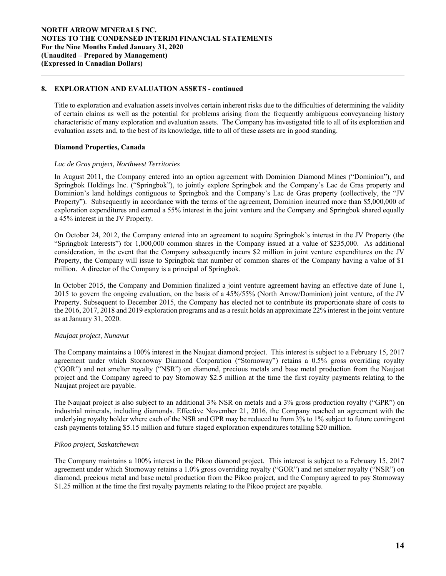## **8. EXPLORATION AND EVALUATION ASSETS - continued**

Title to exploration and evaluation assets involves certain inherent risks due to the difficulties of determining the validity of certain claims as well as the potential for problems arising from the frequently ambiguous conveyancing history characteristic of many exploration and evaluation assets. The Company has investigated title to all of its exploration and evaluation assets and, to the best of its knowledge, title to all of these assets are in good standing.

## **Diamond Properties, Canada**

 $\overline{a}$ 

### *Lac de Gras project, Northwest Territories*

In August 2011, the Company entered into an option agreement with Dominion Diamond Mines ("Dominion"), and Springbok Holdings Inc. ("Springbok"), to jointly explore Springbok and the Company's Lac de Gras property and Dominion's land holdings contiguous to Springbok and the Company's Lac de Gras property (collectively, the "JV Property"). Subsequently in accordance with the terms of the agreement, Dominion incurred more than \$5,000,000 of exploration expenditures and earned a 55% interest in the joint venture and the Company and Springbok shared equally a 45% interest in the JV Property.

On October 24, 2012, the Company entered into an agreement to acquire Springbok's interest in the JV Property (the "Springbok Interests") for 1,000,000 common shares in the Company issued at a value of \$235,000. As additional consideration, in the event that the Company subsequently incurs \$2 million in joint venture expenditures on the JV Property, the Company will issue to Springbok that number of common shares of the Company having a value of \$1 million. A director of the Company is a principal of Springbok.

In October 2015, the Company and Dominion finalized a joint venture agreement having an effective date of June 1, 2015 to govern the ongoing evaluation, on the basis of a 45%/55% (North Arrow/Dominion) joint venture, of the JV Property. Subsequent to December 2015, the Company has elected not to contribute its proportionate share of costs to the 2016, 2017, 2018 and 2019 exploration programs and as a result holds an approximate 22% interest in the joint venture as at January 31, 2020.

# *Naujaat project, Nunavut*

The Company maintains a 100% interest in the Naujaat diamond project. This interest is subject to a February 15, 2017 agreement under which Stornoway Diamond Corporation ("Stornoway") retains a 0.5% gross overriding royalty ("GOR") and net smelter royalty ("NSR") on diamond, precious metals and base metal production from the Naujaat project and the Company agreed to pay Stornoway \$2.5 million at the time the first royalty payments relating to the Naujaat project are payable.

The Naujaat project is also subject to an additional 3% NSR on metals and a 3% gross production royalty ("GPR") on industrial minerals, including diamonds. Effective November 21, 2016, the Company reached an agreement with the underlying royalty holder where each of the NSR and GPR may be reduced to from 3% to 1% subject to future contingent cash payments totaling \$5.15 million and future staged exploration expenditures totalling \$20 million.

## *Pikoo project, Saskatchewan*

The Company maintains a 100% interest in the Pikoo diamond project. This interest is subject to a February 15, 2017 agreement under which Stornoway retains a 1.0% gross overriding royalty ("GOR") and net smelter royalty ("NSR") on diamond, precious metal and base metal production from the Pikoo project, and the Company agreed to pay Stornoway \$1.25 million at the time the first royalty payments relating to the Pikoo project are payable.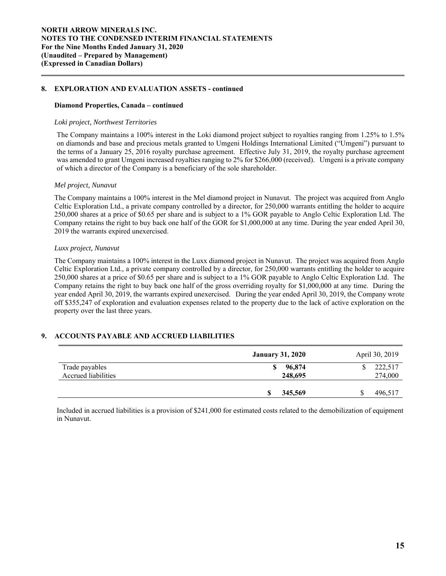## **8. EXPLORATION AND EVALUATION ASSETS - continued**

### **Diamond Properties, Canada – continued**

### *Loki project, Northwest Territories*

The Company maintains a 100% interest in the Loki diamond project subject to royalties ranging from 1.25% to 1.5% on diamonds and base and precious metals granted to Umgeni Holdings International Limited ("Umgeni") pursuant to the terms of a January 25, 2016 royalty purchase agreement. Effective July 31, 2019, the royalty purchase agreement was amended to grant Umgeni increased royalties ranging to 2% for \$266,000 (received). Umgeni is a private company of which a director of the Company is a beneficiary of the sole shareholder.

#### *Mel project, Nunavut*

 $\overline{a}$ 

The Company maintains a 100% interest in the Mel diamond project in Nunavut. The project was acquired from Anglo Celtic Exploration Ltd., a private company controlled by a director, for 250,000 warrants entitling the holder to acquire 250,000 shares at a price of \$0.65 per share and is subject to a 1% GOR payable to Anglo Celtic Exploration Ltd. The Company retains the right to buy back one half of the GOR for \$1,000,000 at any time. During the year ended April 30, 2019 the warrants expired unexercised.

### *Luxx project, Nunavut*

The Company maintains a 100% interest in the Luxx diamond project in Nunavut. The project was acquired from Anglo Celtic Exploration Ltd., a private company controlled by a director, for 250,000 warrants entitling the holder to acquire 250,000 shares at a price of \$0.65 per share and is subject to a 1% GOR payable to Anglo Celtic Exploration Ltd. The Company retains the right to buy back one half of the gross overriding royalty for \$1,000,000 at any time. During the year ended April 30, 2019, the warrants expired unexercised. During the year ended April 30, 2019, the Company wrote off \$355,247 of exploration and evaluation expenses related to the property due to the lack of active exploration on the property over the last three years.

# **9. ACCOUNTS PAYABLE AND ACCRUED LIABILITIES**

|                                       | <b>January 31, 2020</b> | April 30, 2019     |
|---------------------------------------|-------------------------|--------------------|
| Trade payables<br>Accrued liabilities | 96,874<br>248,695       | 222,517<br>274,000 |
|                                       | 345,569                 | 496,517            |

Included in accrued liabilities is a provision of \$241,000 for estimated costs related to the demobilization of equipment in Nunavut.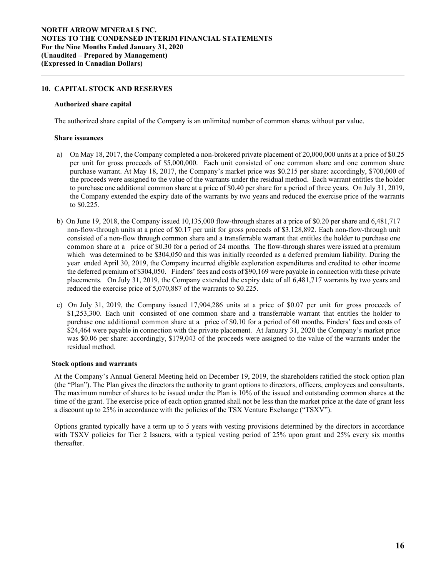## **10. CAPITAL STOCK AND RESERVES**

### **Authorized share capital**

The authorized share capital of the Company is an unlimited number of common shares without par value.

### **Share issuances**

 $\overline{a}$ 

- a) On May 18, 2017, the Company completed a non-brokered private placement of 20,000,000 units at a price of \$0.25 per unit for gross proceeds of \$5,000,000. Each unit consisted of one common share and one common share purchase warrant. At May 18, 2017, the Company's market price was \$0.215 per share: accordingly, \$700,000 of the proceeds were assigned to the value of the warrants under the residual method. Each warrant entitles the holder to purchase one additional common share at a price of \$0.40 per share for a period of three years. On July 31, 2019, the Company extended the expiry date of the warrants by two years and reduced the exercise price of the warrants to \$0.225.
- b) On June 19, 2018, the Company issued 10,135,000 flow-through shares at a price of \$0.20 per share and 6,481,717 non-flow-through units at a price of \$0.17 per unit for gross proceeds of \$3,128,892. Each non-flow-through unit consisted of a non-flow through common share and a transferrable warrant that entitles the holder to purchase one common share at a price of \$0.30 for a period of 24 months. The flow-through shares were issued at a premium which was determined to be \$304,050 and this was initially recorded as a deferred premium liability. During the year ended April 30, 2019, the Company incurred eligible exploration expenditures and credited to other income the deferred premium of \$304,050. Finders' fees and costs of \$90,169 were payable in connection with these private placements. On July 31, 2019, the Company extended the expiry date of all 6,481,717 warrants by two years and reduced the exercise price of 5,070,887 of the warrants to \$0.225.
- c) On July 31, 2019, the Company issued 17,904,286 units at a price of \$0.07 per unit for gross proceeds of \$1,253,300. Each unit consisted of one common share and a transferrable warrant that entitles the holder to purchase one additional common share at a price of \$0.10 for a period of 60 months. Finders' fees and costs of \$24,464 were payable in connection with the private placement. At January 31, 2020 the Company's market price was \$0.06 per share: accordingly, \$179,043 of the proceeds were assigned to the value of the warrants under the residual method.

## **Stock options and warrants**

 At the Company's Annual General Meeting held on December 19, 2019, the shareholders ratified the stock option plan (the "Plan"). The Plan gives the directors the authority to grant options to directors, officers, employees and consultants. The maximum number of shares to be issued under the Plan is 10% of the issued and outstanding common shares at the time of the grant. The exercise price of each option granted shall not be less than the market price at the date of grant less a discount up to 25% in accordance with the policies of the TSX Venture Exchange ("TSXV").

Options granted typically have a term up to 5 years with vesting provisions determined by the directors in accordance with TSXV policies for Tier 2 Issuers, with a typical vesting period of 25% upon grant and 25% every six months thereafter.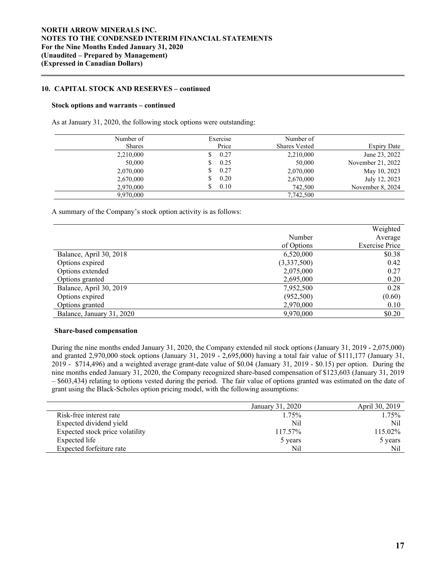## **10. CAPITAL STOCK AND RESERVES – continued**

### **Stock options and warrants – continued**

 $\overline{a}$ 

As at January 31, 2020, the following stock options were outstanding:

| Number of     | Exercise | Number of            |                   |
|---------------|----------|----------------------|-------------------|
| <b>Shares</b> | Price    | <b>Shares Vested</b> | Expiry Date       |
| 2,210,000     | 0.27     | 2,210,000            | June 23, 2022     |
| 50,000        | 0.25     | 50,000               | November 21, 2022 |
| 2,070,000     | 0.27     | 2,070,000            | May 10, 2023      |
| 2,670,000     | 0.20     | 2,670,000            | July 12, 2023     |
| 2,970,000     | 0.10     | 742,500              | November 8, 2024  |
| 9,970,000     |          | 7,742,500            |                   |

A summary of the Company's stock option activity is as follows:

|                           |             | Weighted              |
|---------------------------|-------------|-----------------------|
|                           | Number      | Average               |
|                           | of Options  | <b>Exercise Price</b> |
| Balance, April 30, 2018   | 6,520,000   | \$0.38                |
| Options expired           | (3,337,500) | 0.42                  |
| Options extended          | 2,075,000   | 0.27                  |
| Options granted           | 2,695,000   | 0.20                  |
| Balance, April 30, 2019   | 7,952,500   | 0.28                  |
| Options expired           | (952,500)   | (0.60)                |
| Options granted           | 2,970,000   | 0.10                  |
| Balance, January 31, 2020 | 9,970,000   | \$0.20                |

### **Share-based compensation**

 During the nine months ended January 31, 2020, the Company extended nil stock options (January 31, 2019 - 2,075,000) and granted 2,970,000 stock options (January 31, 2019 - 2,695,000) having a total fair value of \$111,177 (January 31, 2019 - \$714,496) and a weighted average grant-date value of \$0.04 (January 31, 2019 - \$0.15) per option. During the nine months ended January 31, 2020, the Company recognized share-based compensation of \$123,603 (January 31, 2019 – \$603,434) relating to options vested during the period. The fair value of options granted was estimated on the date of grant using the Black-Scholes option pricing model, with the following assumptions:

|                                 | January 31, 2020 | April 30, 2019 |
|---------------------------------|------------------|----------------|
| Risk-free interest rate         | 1.75%            | 1.75%          |
| Expected dividend yield         | Nil              | Nil            |
| Expected stock price volatility | 117.57%          | 115.02%        |
| Expected life                   | 5 years          | 5 years        |
| Expected forfeiture rate        | Nil              | Nil            |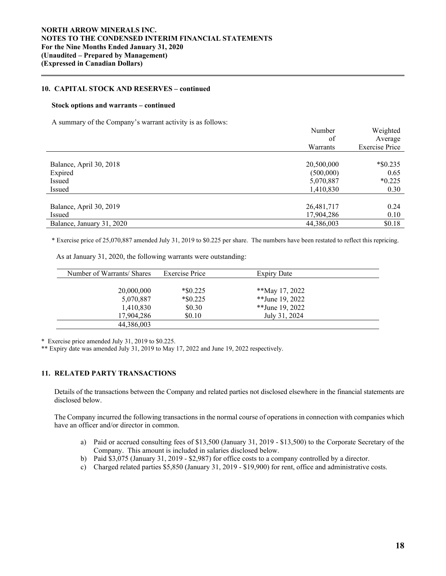## **10. CAPITAL STOCK AND RESERVES – continued**

#### **Stock options and warrants – continued**

 $\overline{a}$ 

A summary of the Company's warrant activity is as follows:

|                           | Number     | Weighted              |
|---------------------------|------------|-----------------------|
|                           | of         | Average               |
|                           | Warrants   | <b>Exercise Price</b> |
|                           |            |                       |
| Balance, April 30, 2018   | 20,500,000 | $*$ \$0.235           |
| Expired                   | (500,000)  | 0.65                  |
| Issued                    | 5,070,887  | $*0.225$              |
| Issued                    | 1,410,830  | 0.30                  |
|                           |            |                       |
| Balance, April 30, 2019   | 26,481,717 | 0.24                  |
| Issued                    | 17,904,286 | 0.10                  |
| Balance, January 31, 2020 | 44,386,003 | \$0.18                |

\* Exercise price of 25,070,887 amended July 31, 2019 to \$0.225 per share. The numbers have been restated to reflect this repricing.

As at January 31, 2020, the following warrants were outstanding:

| Number of Warrants/ Shares | Exercise Price             | <b>Expiry Date</b>                |  |
|----------------------------|----------------------------|-----------------------------------|--|
|                            |                            |                                   |  |
| 20,000,000<br>5,070,887    | $*$ \$0.225<br>$*$ \$0.225 | **May 17, 2022<br>**June 19, 2022 |  |
| 1,410,830                  | \$0.30                     | **June 19, 2022                   |  |
| 17,904,286                 | \$0.10                     | July 31, 2024                     |  |
| 44,386,003                 |                            |                                   |  |

\* Exercise price amended July 31, 2019 to \$0.225.

\*\* Expiry date was amended July 31, 2019 to May 17, 2022 and June 19, 2022 respectively.

# **11. RELATED PARTY TRANSACTIONS**

 Details of the transactions between the Company and related parties not disclosed elsewhere in the financial statements are disclosed below.

The Company incurred the following transactions in the normal course of operations in connection with companies which have an officer and/or director in common.

- a) Paid or accrued consulting fees of \$13,500 (January 31, 2019 \$13,500) to the Corporate Secretary of the Company. This amount is included in salaries disclosed below.
- b) Paid \$3,075 (January 31, 2019 \$2,987) for office costs to a company controlled by a director.
- c) Charged related parties \$5,850 (January 31, 2019 \$19,900) for rent, office and administrative costs.